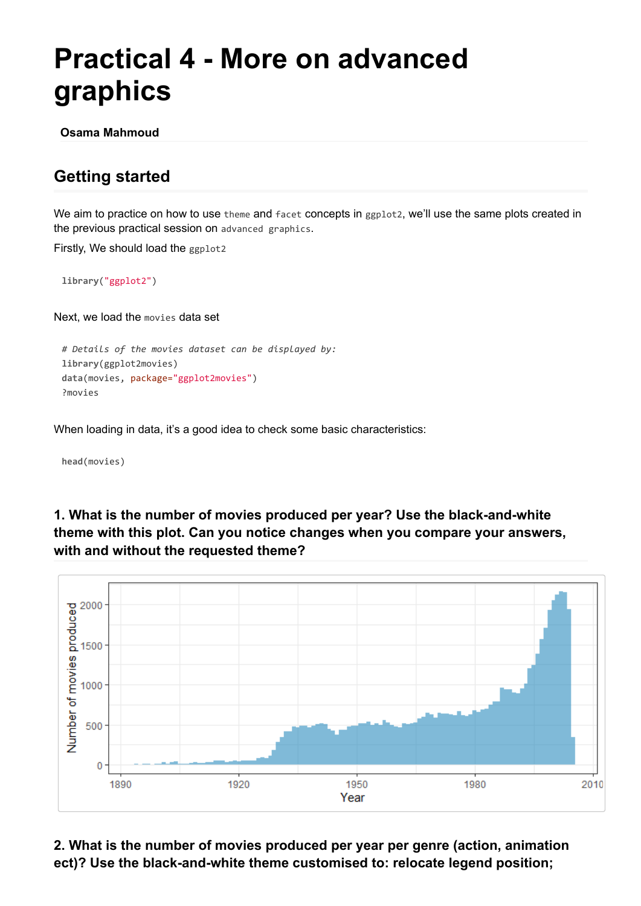# **Practical 4 - More on advanced graphics**

**Osama Mahmoud**

## **Getting started**

We aim to practice on how to use theme and facet concepts in ggplot2, we'll use the same plots created in the previous practical session on advanced graphics.

Firstly, We should load the ggplot2

**library**("ggplot2")

Next, we load the movies data set

```
# Details of the movies dataset can be displayed by:
library(ggplot2movies)
data(movies, package="ggplot2movies")
?movies
```
When loading in data, it's a good idea to check some basic characteristics:

**head**(movies)

### **1. What is the number of movies produced per year? Use the black-and-white theme with this plot. Can you notice changes when you compare your answers, with and without the requested theme?**



**2. What is the number of movies produced per year per genre (action, animation ect)? Use the black-and-white theme customised to: relocate legend position;**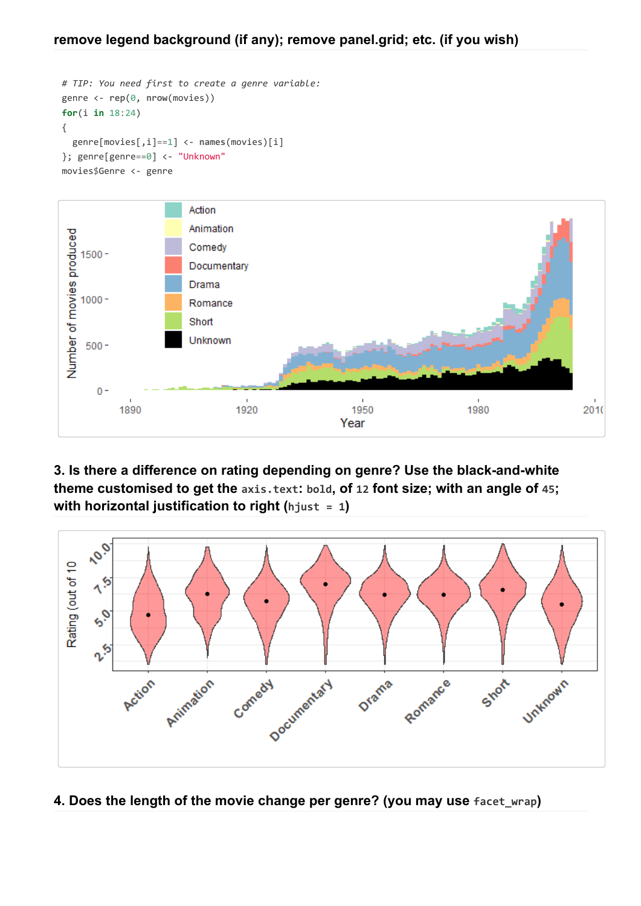```
# TIP: You need first to create a genre variable:
genre <- rep(0, nrow(movies))
for(i in 18:24)
{
  genre[movies[,i]==1] <- names(movies)[i]
}; genre[genre==0] <- "Unknown"
movies$Genre <- genre
```


### **3. Is there a difference on rating depending on genre? Use the black-and-white theme customised to get the axis.text: bold, of 12 font size; with an angle of 45; with horizontal justification to right (hjust = 1)**



#### **4. Does the length of the movie change per genre? (you may use facet\_wrap)**